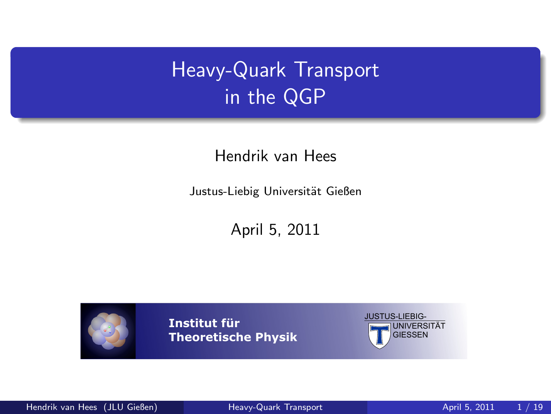# Heavy-Quark Transport in the QGP

#### Hendrik van Hees

Justus-Liebig Universität Gießen

April 5, 2011



**Institut für Theoretische Physik**

<span id="page-0-0"></span>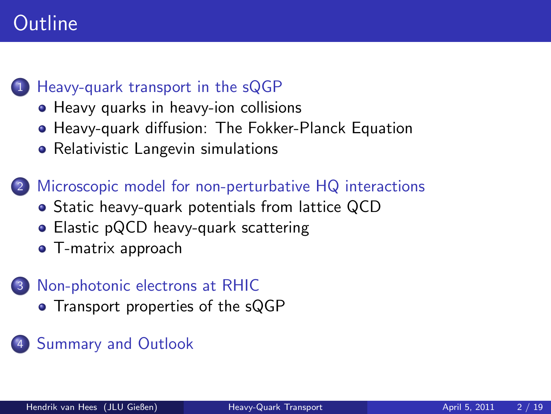# **Outline**



- [Heavy quarks in heavy-ion collisions](#page-2-0)
- [Heavy-quark diffusion: The Fokker-Planck Equation](#page-4-0)
- [Relativistic Langevin simulations](#page-5-0)

[Microscopic model for non-perturbative HQ interactions](#page-6-0)

- **•** [Static heavy-quark potentials from lattice QCD](#page-6-0)
- [Elastic pQCD heavy-quark scattering](#page-6-0)
- **•** [T-matrix approach](#page-9-0)

#### 3 [Non-photonic electrons at RHIC](#page-15-0)

• [Transport properties of the sQGP](#page-17-0)

#### **[Summary and Outlook](#page-18-0)**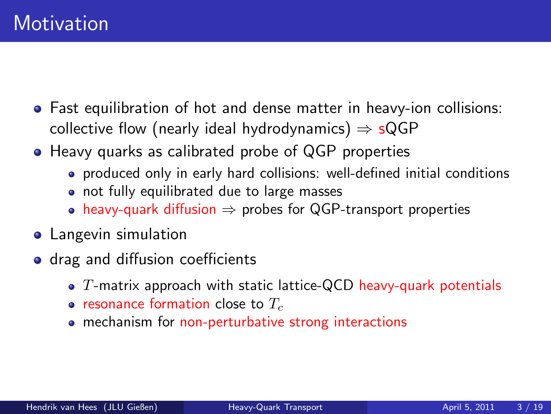- Fast equilibration of hot and dense matter in heavy-ion collisions: collective flow (nearly ideal hydrodynamics)  $\Rightarrow$  sQGP
- Heavy quarks as calibrated probe of QGP properties
	- produced only in early hard collisions: well-defined initial conditions
	- not fully equilibrated due to large masses
	- heavy-quark diffusion  $\Rightarrow$  probes for QGP-transport properties
- **•** Langevin simulation
- <span id="page-2-0"></span>• drag and diffusion coefficients
	- $\bullet$  T-matrix approach with static lattice-QCD heavy-quark potentials
	- resonance formation close to  $T_c$
	- mechanism for non-perturbative strong interactions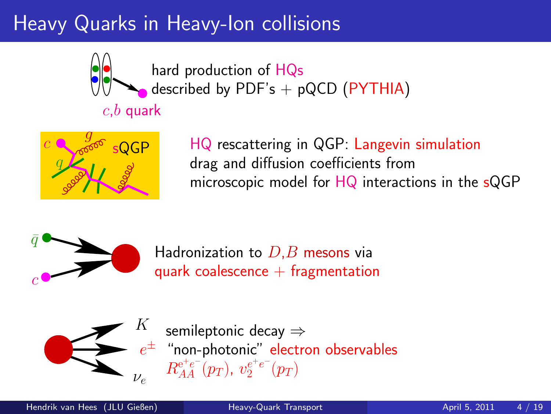# Heavy Quarks in Heavy-Ion collisions



hard production of HQs described by PDF's  $+$  pQCD (PYTHIA)

# $c,b$  quark



HQ rescattering in QGP: Langevin simulation drag and diffusion coefficients from microscopic model for HQ interactions in the sQGP



Hadronization to  $D,B$  mesons via quark coalescence  $+$  fragmentation



 $e^\pm$  "non-photonic" electron observables semileptonic decay ⇒  $R_{AA}^{\mathrm{e^+e^-}}(p_T),\ v_{2}^{e^+e^-}(p_T)$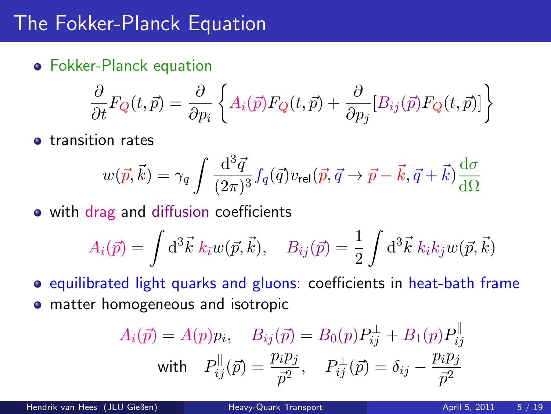#### The Fokker-Planck Equation

Fokker-Planck equation

$$
\frac{\partial}{\partial t}F_Q(t,\vec{p}) = \frac{\partial}{\partial p_i} \left\{ A_i(\vec{p}) F_Q(t,\vec{p}) + \frac{\partial}{\partial p_j} [B_{ij}(\vec{p}) F_Q(t,\vec{p})] \right\}
$$

**•** transition rates

$$
w(\vec{p}, \vec{k}) = \gamma_q \int \frac{\mathrm{d}^3 \vec{q}}{(2\pi)^3} f_q(\vec{q}) v_{\text{rel}}(\vec{p}, \vec{q} \to \vec{p} - \vec{k}, \vec{q} + \vec{k}) \frac{\mathrm{d}\sigma}{\mathrm{d}\Omega}
$$

• with drag and diffusion coefficients

$$
A_i(\vec{p}) = \int d^3\vec{k} \; k_i w(\vec{p}, \vec{k}), \quad B_{ij}(\vec{p}) = \frac{1}{2} \int d^3\vec{k} \; k_i k_j w(\vec{p}, \vec{k})
$$

• equilibrated light quarks and gluons: coefficients in heat-bath frame • matter homogeneous and isotropic

<span id="page-4-0"></span>
$$
A_i(\vec{p}) = A(p)p_i, \quad B_{ij}(\vec{p}) = B_0(p)P_{ij}^{\perp} + B_1(p)P_{ij}^{\parallel}
$$
  
with 
$$
P_{ij}^{\parallel}(\vec{p}) = \frac{p_i p_j}{\vec{p}^2}, \quad P_{ij}^{\perp}(\vec{p}) = \delta_{ij} - \frac{p_i p_j}{\vec{p}^2}
$$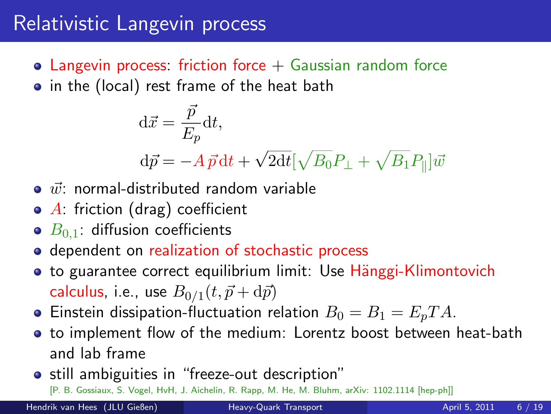## Relativistic Langevin process

 $\bullet$  Langevin process: friction force  $+$  Gaussian random force • in the (local) rest frame of the heat bath

$$
\begin{aligned} \mathbf{d}\vec{x} &= \frac{\vec{p}}{E_p} \mathbf{d}t, \\ \mathbf{d}\vec{p} &= -A\,\vec{p}\,\mathbf{d}t + \sqrt{2\mathbf{d}t} [\sqrt{B_0}P_\perp + \sqrt{B_1}P_\parallel]\vec{w} \end{aligned}
$$

- $\bullet$   $\vec{w}$ : normal-distributed random variable
- $\bullet$  A: friction (drag) coefficient
- $\bullet$   $B_{0,1}$ : diffusion coefficients
- **o** dependent on realization of stochastic process
- to guarantee correct equilibrium limit: Use Hänggi-Klimontovich calculus, i.e., use  $B_{0/1}(t,\vec{p}+{\rm d}\vec{p})$
- **•** Einstein dissipation-fluctuation relation  $B_0 = B_1 = E_p T A$ .
- $\bullet$  to implement flow of the medium: Lorentz boost between heat-bath and lab frame
- still ambiguities in "freeze-out description"

[P. B. Gossiaux, S. Vogel, HvH, J. Aichelin, R. Rapp, M. He, M. Bluhm, arXiv: 1102.1114 [hep-ph]]

Hendrik van Hees (JLU Gießen) [Heavy-Quark Transport](#page-0-0) April 5, 2011 6/19

<span id="page-5-0"></span>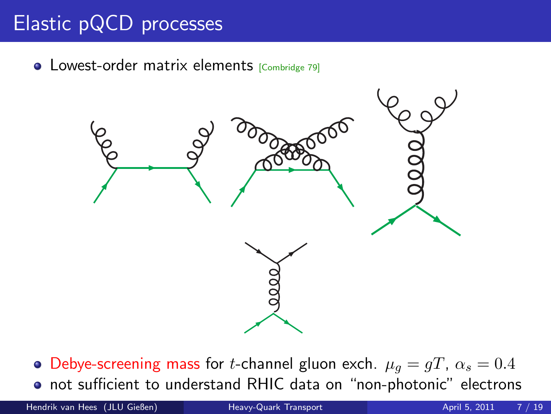# Elastic pQCD processes

• Lowest-order matrix elements [Combridge 79]



<span id="page-6-0"></span>• Debye-screening mass for *t*-channel gluon exch.  $\mu_g = gT$ ,  $\alpha_s = 0.4$ not sufficient to understand RHIC data on "non-photonic" electrons

Hendrik van Hees (JLU Gießen) is een meerver aan de eerste van de gesteld van de gesteld van de gesteld van de<br>Gebeure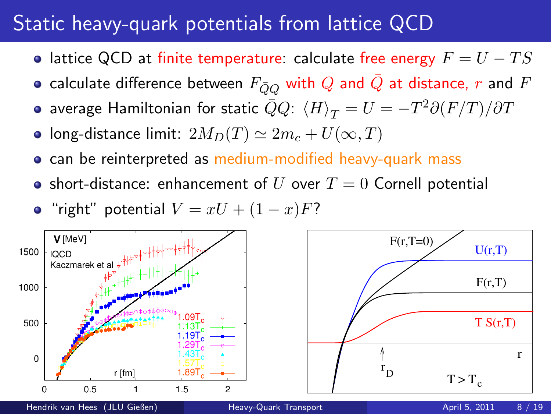## Static heavy-quark potentials from lattice QCD

- lattice QCD at finite temperature: calculate free energy  $F = U TS$
- calculate difference between  $F_{\bar{O}O}$  with  $Q$  and  $\bar{Q}$  at distance, r and  $F$
- average Hamiltonian for static  $\bar{Q}Q\colon \braket{H}_T = U = -T^2\partial(F/T)/\partial T$
- long-distance limit:  $2M_D(T) \simeq 2m_c + U(\infty, T)$
- can be reinterpreted as medium-modified heavy-quark mass
- short-distance: enhancement of U over  $T = 0$  Cornell potential

• "right" potential 
$$
V = xU + (1 - x)F
$$
?

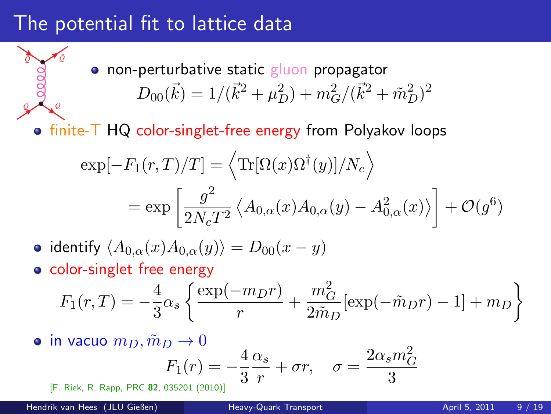#### The potential fit to lattice data

**• non-perturbative static gluon propagator**  $D_{00}(\vec{k}) = 1/(\vec{k}^2 + \mu_D^2) + m_G^2/(\vec{k}^2 + \tilde{m}_D^2)^2$ 

• finite-T HQ color-singlet-free energy from Polyakov loops

$$
\exp[-F_1(r,T)/T] = \left\langle \text{Tr}[\Omega(x)\Omega^\dagger(y)]/N_c \right\rangle
$$

$$
= \exp\left[\frac{g^2}{2N_cT^2} \left\langle A_{0,\alpha}(x)A_{0,\alpha}(y) - A_{0,\alpha}^2(x) \right\rangle \right] + \mathcal{O}(g^6)
$$

• identify  $\langle A_{0,\alpha}(x)A_{0,\alpha}(y)\rangle = D_{00}(x - y)$ 

**o** color-singlet free energy

$$
F_1(r,T) = -\frac{4}{3}\alpha_s \left\{ \frac{\exp(-m_D r)}{r} + \frac{m_G^2}{2\tilde{m}_D} [\exp(-\tilde{m}_D r) - 1] + m_D \right\}
$$

• in vacuo  $m_D, \tilde{m}_D \to 0$  $F_1(r) = -\frac{4}{3}$ 3  $\alpha_s$  $\frac{\alpha_s}{r} + \sigma r$ ,  $\sigma = \frac{2\alpha_s m_G^2}{3}$ 3 [F. Riek, R. Rapp, PRC 82, 035201 (2010)]

Hendrik van Hees (JLU Gießen) [Heavy-Quark Transport](#page-0-0) April 5, 2011 9/19

*Q*

*<sup>Q</sup>*¯ *<sup>Q</sup>*¯

*Q*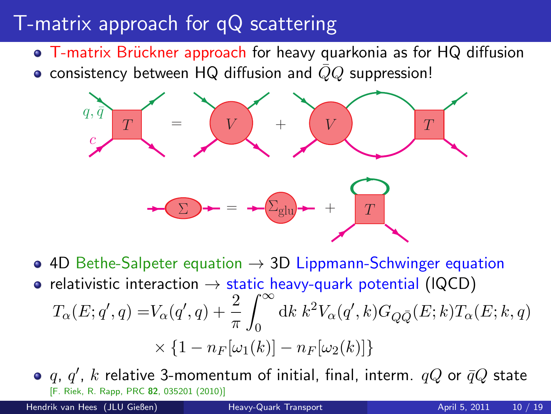# T-matrix approach for qQ scattering

- T-matrix Brückner approach for heavy quarkonia as for HQ diffusion
- consistency between HQ diffusion and  $QQ$  suppression!



- 4D Bethe-Salpeter equation  $\rightarrow$  3D Lippmann-Schwinger equation
- relativistic interaction  $\rightarrow$  static heavy-quark potential (IQCD)  $T_{\alpha}(E; q', q) = V_{\alpha}(q', q) + \frac{2}{\pi}$  $\int^{\infty}$  $\boldsymbol{0}$ dk  $k^2 V_\alpha(q',k) G_{Q\bar{Q}}(E;k) T_\alpha(E;k,q)$  $\times \{1 - n_F[\omega_1(k)] - n_F[\omega_2(k)]\}$

<span id="page-9-0"></span> $q, \, q', \, k$  relative 3-momentum of initial, final, interm.  $\, qQ$  or  $\bar q Q$  state [F. Riek, R. Rapp, PRC 82, 035201 (2010)]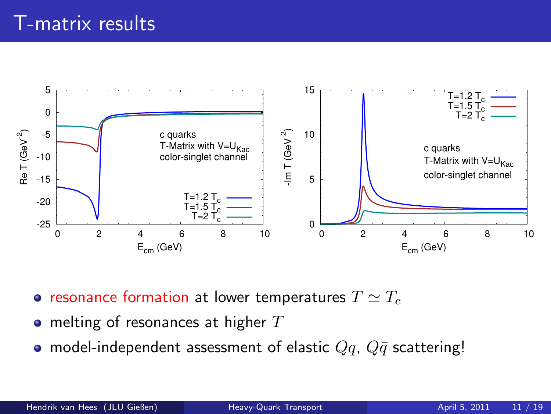

- resonance formation at lower temperatures  $T \simeq T_c$
- melting of resonances at higher  $T$
- model-independent assessment of elastic  $Qq$ ,  $Q\bar{q}$  scattering!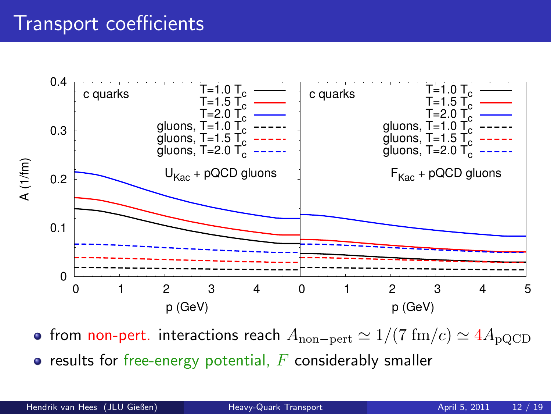#### Transport coefficients



• from non-pert. interactions reach  $A_{\text{non-pert}} \simeq 1/(7 \text{ fm}/c) \simeq 4A_{\text{pQCD}}$ 

 $\bullet$  results for free-energy potential,  $F$  considerably smaller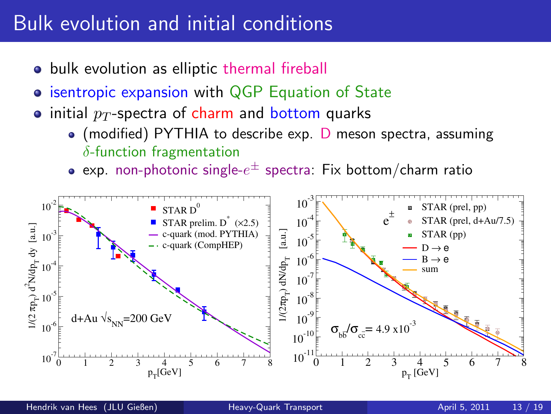## Bulk evolution and initial conditions

- bulk evolution as elliptic thermal fireball
- **isentropic expansion with QGP Equation of State**
- initial  $p_T$ -spectra of charm and bottom quarks
	- $\bullet$  (modified) PYTHIA to describe exp. D meson spectra, assuming  $\delta$ -function fragmentation
	- exp. non-photonic single- $e^\pm$  spectra: Fix bottom/charm ratio

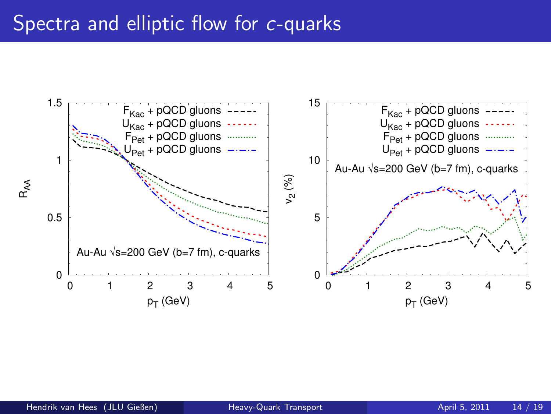#### Spectra and elliptic flow for c-quarks

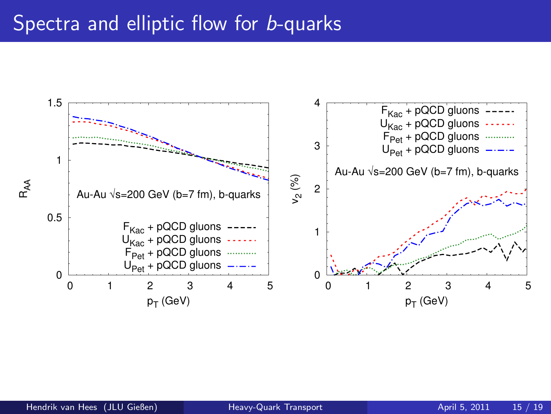#### Spectra and elliptic flow for **b-quarks**

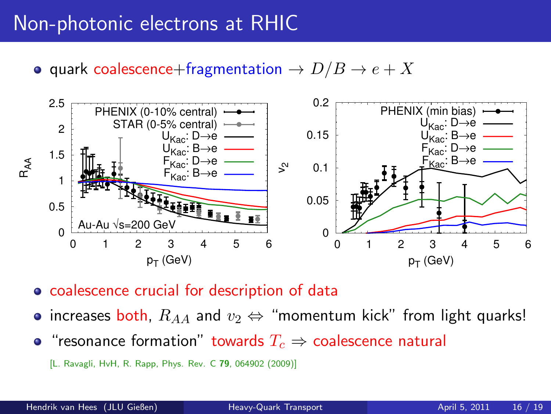#### Non-photonic electrons at RHIC

• quark coalescence+fragmentation  $\rightarrow D/B \rightarrow e + X$ 



- coalescence crucial for description of data
- increases both,  $R_{AA}$  and  $v_2 \Leftrightarrow$  "momentum kick" from light quarks!
- <span id="page-15-0"></span>• "resonance formation" towards  $T_c \Rightarrow$  coalescence natural
	- [L. Ravagli, HvH, R. Rapp, Phys. Rev. C 79, 064902 (2009)]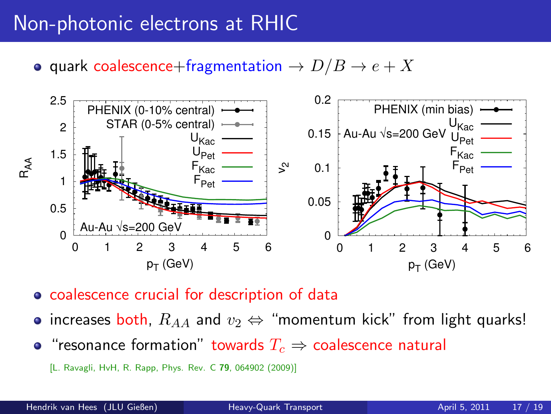## Non-photonic electrons at RHIC

• quark coalescence+fragmentation  $\rightarrow D/B \rightarrow e + X$ 



- coalescence crucial for description of data
- increases both,  $R_{AA}$  and  $v_2 \Leftrightarrow$  "momentum kick" from light quarks!
- "resonance formation" towards  $T_c \Rightarrow$  coalescence natural
	- [L. Ravagli, HvH, R. Rapp, Phys. Rev. C 79, 064902 (2009)]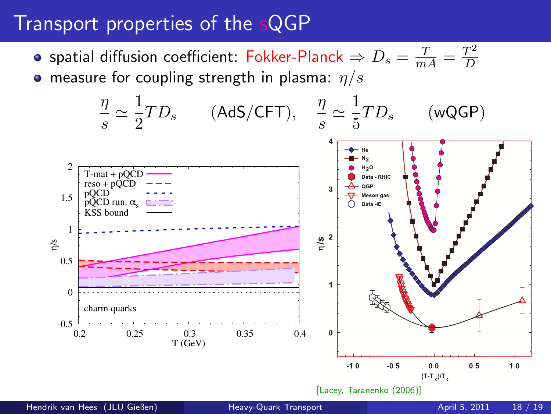## Transport properties of the sQGP

spatial diffusion coefficient: Fokker-Planck  $\Rightarrow D_s = \frac{T}{mA} = \frac{T^2}{D}$ D • measure for coupling strength in plasma:  $\eta/s$ 

$$
\frac{\eta}{s} \simeq \frac{1}{2} TD_s \qquad (AdS/CFT), \qquad \frac{\eta}{s} \simeq \frac{1}{5} TD_s \qquad (wQGP)
$$
\n
$$
\frac{\frac{1}{2} \left( \frac{T \cdot ma}{T \cdot ma + pQCD} \right)}{\frac{1}{2} \left( \frac{PQCD}{PQCD} \right) \frac{1}{1 - n}} \qquad \frac{\frac{1}{2} \left( \frac{T \cdot ba}{T \cdot ba + R \cdot BC} \right)}{\frac{1}{2} \left( \frac{PQCD}{QCD} \right) \frac{1}{1 - n}} \qquad \frac{\frac{1}{2} \left( \frac{T \cdot ba}{T \cdot BC} \right)}{\frac{1}{2} \left( \frac{PQCD}{QCD} \right) \frac{1}{1 - n}} \qquad \frac{\frac{1}{2} \left( \frac{T \cdot ba}{D \cdot BC} \right)}{\frac{1}{2} \left( \frac{PQCD}{QCD} \right) \frac{1}{1 - n}} \qquad \frac{\frac{1}{2} \left( \frac{T \cdot Ba}{QCD} \right)}{\frac{1}{2} \left( \frac{PQCD}{QCD} \right) \frac{1}{1 - n}} \qquad \frac{\frac{1}{2} \left( \frac{T \cdot Ba}{QCD} \right)}{\frac{1}{2} \left( \frac{PQCD}{QCD} \right) \frac{1}{1 - n}} \qquad \frac{\frac{1}{2} \left( \frac{T \cdot Ba}{QCD} \right)}{\frac{1}{2} \left( \frac{PQCD}{QCD} \right) \frac{1}{1 - n}} \qquad \frac{\frac{1}{2} \left( \frac{T \cdot Ba}{QCD} \right)}{\frac{1}{2} \left( \frac{PQCD}{QCD} \right) \frac{1}{1 - n}} \qquad \frac{\frac{1}{2} \left( \frac{T \cdot Ba}{QCD} \right)}{\frac{1}{2} \left( \frac{PQCD}{QCD} \right) \frac{1}{1 - n}} \qquad \frac{\frac{1}{2} \left( \frac{T \cdot Ba}{QCD} \right)}{\frac{1}{2} \left( \frac{PQCD}{QCD} \right) \frac{1}{1 - n}} \qquad \frac{\frac{1}{2} \left( \frac{T \cdot Ba}{QCD} \right)}{\frac{1}{2} \left( \frac{PQCD}{QCD} \right) \frac{1}{1 - n}} \qquad \frac{\frac{1}{2} \left( \frac
$$

Hendrik van Hees (JLU Gießen) aan die Beavy-Quark Transport April 5, 2011 18 / 19

[Lacey, Taranenko (2006)]

 $-0.5$ 

 $0.0$ 

 $(T-T_c)$ 

 $-1.0$ 

<span id="page-17-0"></span> $1.0$ 

 $0.5$